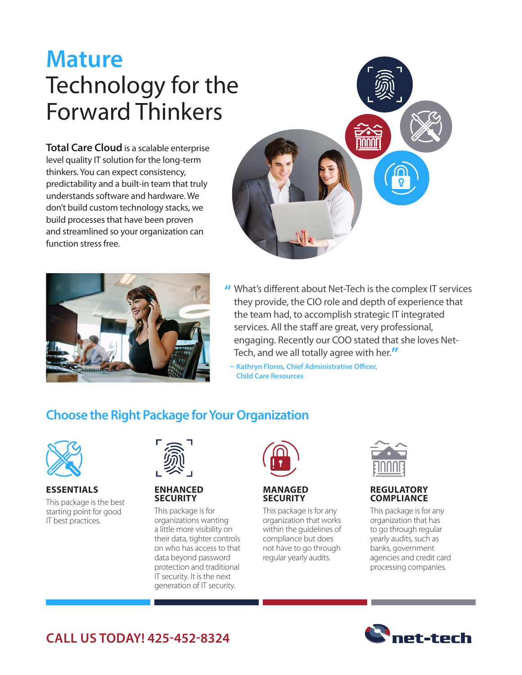# **Mature**  Technology for the Forward Thinkers

**Total Care Cloud** is a scalable enterprise level quality IT solution for the long-term thinkers. You can expect consistency, predictability and a built-in team that truly understands software and hardware. We don't build custom technology stacks, we build processes that have been proven and streamlined so your organization can function stress free.



- INNNI
- **"** What's different about Net-Tech is the complex IT services they provide, the CIO role and depth of experience that the team had, to accomplish strategic IT integrated services. All the staff are great, very professional, engaging. Recently our COO stated that she loves Net-Tech, and we all totally agree with her.**" – Kathryn Flores, Chief Administrative Officer,** 
	- **Child Care Resources**

### **Choose the Right Package for Your Organization**



#### **ESSENTIALS** This package is the best starting point for good

IT best practices.



#### **ENHANCED SECURITY**

This package is for organizations wanting a little more visibility on their data, tighter controls on who has access to that data beyond password protection and traditional IT security. It is the next generation of IT security.



#### **MANAGED SECURITY**

This package is for any organization that works within the guidelines of compliance but does not have to go through regular yearly audits.



#### **REGULATORY COMPLIANCE**

This package is for any organization that has to go through regular yearly audits, such as banks, government agencies and credit card processing companies.



## **CALL US TODAY! 425-452-8324**